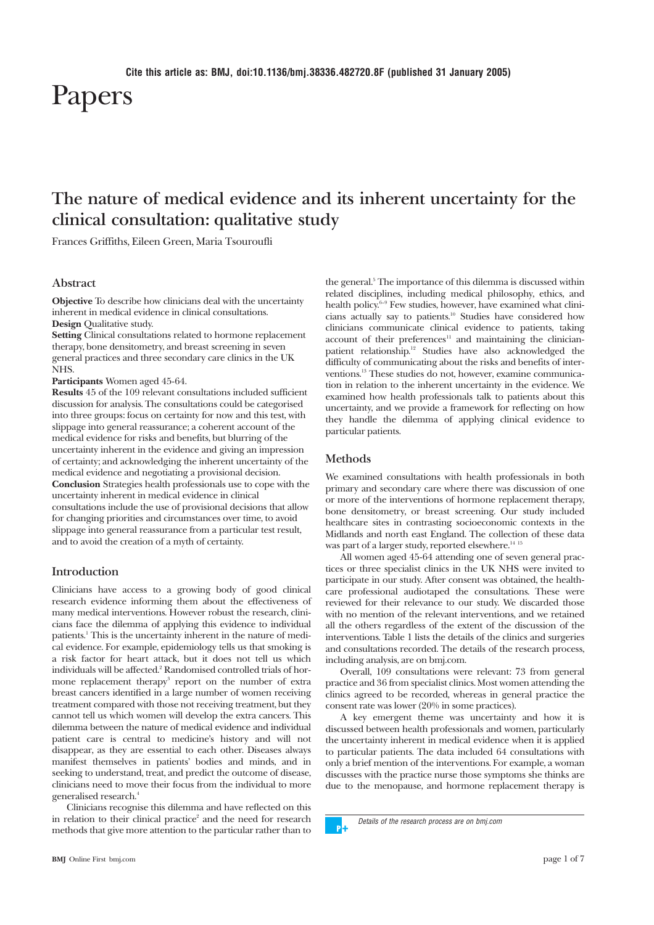# Papers

# **The nature of medical evidence and its inherent uncertainty for the clinical consultation: qualitative study**

Frances Griffiths, Eileen Green, Maria Tsouroufli

# **Abstract**

**Objective** To describe how clinicians deal with the uncertainty inherent in medical evidence in clinical consultations. **Design** Qualitative study.

**Setting** Clinical consultations related to hormone replacement therapy, bone densitometry, and breast screening in seven general practices and three secondary care clinics in the UK **NHS** 

**Participants** Women aged 45-64.

**Results** 45 of the 109 relevant consultations included sufficient discussion for analysis. The consultations could be categorised into three groups: focus on certainty for now and this test, with slippage into general reassurance; a coherent account of the medical evidence for risks and benefits, but blurring of the uncertainty inherent in the evidence and giving an impression of certainty; and acknowledging the inherent uncertainty of the medical evidence and negotiating a provisional decision. **Conclusion** Strategies health professionals use to cope with the uncertainty inherent in medical evidence in clinical consultations include the use of provisional decisions that allow for changing priorities and circumstances over time, to avoid slippage into general reassurance from a particular test result, and to avoid the creation of a myth of certainty.

# **Introduction**

Clinicians have access to a growing body of good clinical research evidence informing them about the effectiveness of many medical interventions. However robust the research, clinicians face the dilemma of applying this evidence to individual patients.<sup>1</sup> This is the uncertainty inherent in the nature of medical evidence. For example, epidemiology tells us that smoking is a risk factor for heart attack, but it does not tell us which individuals will be affected.<sup>2</sup> Randomised controlled trials of hormone replacement therapy<sup>3</sup> report on the number of extra breast cancers identified in a large number of women receiving treatment compared with those not receiving treatment, but they cannot tell us which women will develop the extra cancers. This dilemma between the nature of medical evidence and individual patient care is central to medicine's history and will not disappear, as they are essential to each other. Diseases always manifest themselves in patients' bodies and minds, and in seeking to understand, treat, and predict the outcome of disease, clinicians need to move their focus from the individual to more generalised research.4

Clinicians recognise this dilemma and have reflected on this in relation to their clinical practice<sup>2</sup> and the need for research methods that give more attention to the particular rather than to the general.<sup>5</sup> The importance of this dilemma is discussed within related disciplines, including medical philosophy, ethics, and health policy.<sup>6-9</sup> Few studies, however, have examined what clinicians actually say to patients.<sup>10</sup> Studies have considered how clinicians communicate clinical evidence to patients, taking account of their preferences $11$  and maintaining the clinicianpatient relationship.<sup>12</sup> Studies have also acknowledged the difficulty of communicating about the risks and benefits of interventions.13 These studies do not, however, examine communication in relation to the inherent uncertainty in the evidence. We examined how health professionals talk to patients about this uncertainty, and we provide a framework for reflecting on how they handle the dilemma of applying clinical evidence to particular patients.

# **Methods**

We examined consultations with health professionals in both primary and secondary care where there was discussion of one or more of the interventions of hormone replacement therapy, bone densitometry, or breast screening. Our study included healthcare sites in contrasting socioeconomic contexts in the Midlands and north east England. The collection of these data was part of a larger study, reported elsewhere.<sup>14 15</sup>

All women aged 45-64 attending one of seven general practices or three specialist clinics in the UK NHS were invited to participate in our study. After consent was obtained, the healthcare professional audiotaped the consultations. These were reviewed for their relevance to our study. We discarded those with no mention of the relevant interventions, and we retained all the others regardless of the extent of the discussion of the interventions. Table 1 lists the details of the clinics and surgeries and consultations recorded. The details of the research process, including analysis, are on bmj.com.

Overall, 109 consultations were relevant: 73 from general practice and 36 from specialist clinics. Most women attending the clinics agreed to be recorded, whereas in general practice the consent rate was lower (20% in some practices).

A key emergent theme was uncertainty and how it is discussed between health professionals and women, particularly the uncertainty inherent in medical evidence when it is applied to particular patients. The data included 64 consultations with only a brief mention of the interventions. For example, a woman discusses with the practice nurse those symptoms she thinks are due to the menopause, and hormone replacement therapy is

Details of the research process are on bmj.com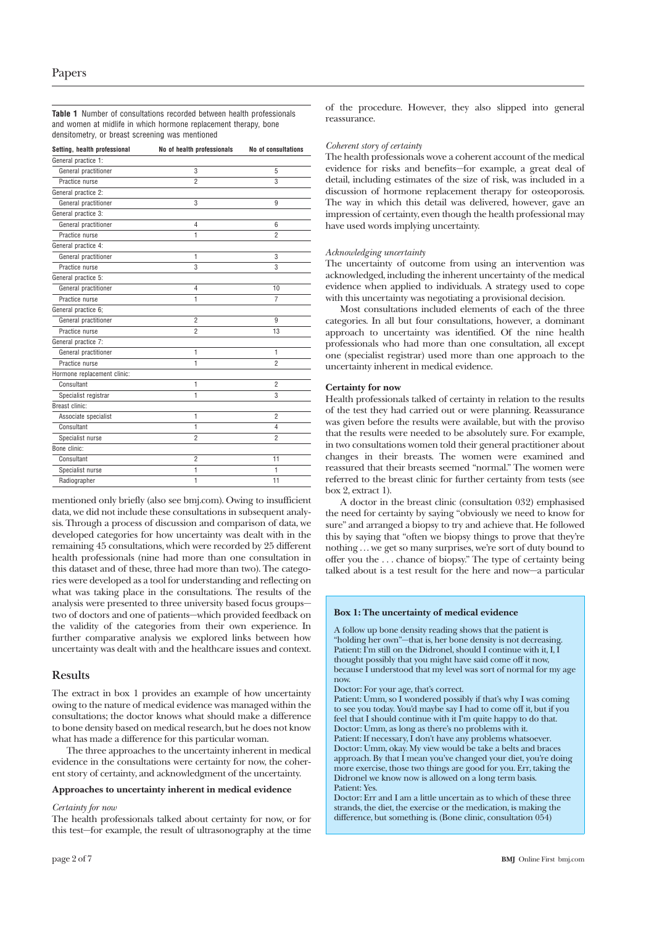**Table 1** Number of consultations recorded between health professionals and women at midlife in which hormone replacement therapy, bone densitometry, or breast screening was mentioned

| Setting, health professional | No of health professionals | No of consultations |
|------------------------------|----------------------------|---------------------|
| General practice 1:          |                            |                     |

| General practitioner        | 3              | 5                       |
|-----------------------------|----------------|-------------------------|
| Practice nurse              | $\overline{2}$ | 3                       |
| General practice 2:         |                |                         |
| General practitioner        | 3              | 9                       |
| General practice 3:         |                |                         |
| General practitioner        | 4              | 6                       |
| Practice nurse              | 1              | $\overline{2}$          |
| General practice 4:         |                |                         |
| General practitioner        | $\mathbf{1}$   | 3                       |
| Practice nurse              | 3              | 3                       |
| General practice 5:         |                |                         |
| General practitioner        | $\overline{4}$ | 10                      |
| Practice nurse              | 1              | 7                       |
| General practice 6;         |                |                         |
| General practitioner        | $\overline{2}$ | 9                       |
| Practice nurse              | $\overline{2}$ | 13                      |
| General practice 7:         |                |                         |
| General practitioner        | $\mathbf{1}$   | 1                       |
| Practice nurse              | 1              | $\overline{2}$          |
| Hormone replacement clinic: |                |                         |
| Consultant                  | 1              | $\overline{2}$          |
| Specialist registrar        | 1              | 3                       |
| Breast clinic:              |                |                         |
| Associate specialist        | 1              | $\overline{2}$          |
| Consultant                  | 1              | $\overline{\mathbf{4}}$ |
| Specialist nurse            | $\overline{2}$ | $\overline{2}$          |
| Bone clinic:                |                |                         |
| Consultant                  | $\overline{2}$ | 11                      |
| Specialist nurse            | 1              | 1                       |
| Radiographer                | 1              | 11                      |
|                             |                |                         |

mentioned only briefly (also see bmj.com). Owing to insufficient data, we did not include these consultations in subsequent analysis. Through a process of discussion and comparison of data, we developed categories for how uncertainty was dealt with in the remaining 45 consultations, which were recorded by 25 different health professionals (nine had more than one consultation in this dataset and of these, three had more than two). The categories were developed as a tool for understanding and reflecting on what was taking place in the consultations. The results of the analysis were presented to three university based focus groups two of doctors and one of patients—which provided feedback on the validity of the categories from their own experience. In further comparative analysis we explored links between how uncertainty was dealt with and the healthcare issues and context.

# **Results**

The extract in box 1 provides an example of how uncertainty owing to the nature of medical evidence was managed within the consultations; the doctor knows what should make a difference to bone density based on medical research, but he does not know what has made a difference for this particular woman.

The three approaches to the uncertainty inherent in medical evidence in the consultations were certainty for now, the coherent story of certainty, and acknowledgment of the uncertainty.

#### **Approaches to uncertainty inherent in medical evidence**

#### *Certainty for now*

The health professionals talked about certainty for now, or for this test—for example, the result of ultrasonography at the time of the procedure. However, they also slipped into general reassurance.

#### *Coherent story of certainty*

The health professionals wove a coherent account of the medical evidence for risks and benefits—for example, a great deal of detail, including estimates of the size of risk, was included in a discussion of hormone replacement therapy for osteoporosis. The way in which this detail was delivered, however, gave an impression of certainty, even though the health professional may have used words implying uncertainty.

#### *Acknowledging uncertainty*

The uncertainty of outcome from using an intervention was acknowledged, including the inherent uncertainty of the medical evidence when applied to individuals. A strategy used to cope with this uncertainty was negotiating a provisional decision.

Most consultations included elements of each of the three categories. In all but four consultations, however, a dominant approach to uncertainty was identified. Of the nine health professionals who had more than one consultation, all except one (specialist registrar) used more than one approach to the uncertainty inherent in medical evidence.

#### **Certainty for now**

Health professionals talked of certainty in relation to the results of the test they had carried out or were planning. Reassurance was given before the results were available, but with the proviso that the results were needed to be absolutely sure. For example, in two consultations women told their general practitioner about changes in their breasts. The women were examined and reassured that their breasts seemed "normal." The women were referred to the breast clinic for further certainty from tests (see box 2, extract 1).

A doctor in the breast clinic (consultation 032) emphasised the need for certainty by saying "obviously we need to know for sure" and arranged a biopsy to try and achieve that. He followed this by saying that "often we biopsy things to prove that they're nothing . . . we get so many surprises, we're sort of duty bound to offer you the . . . chance of biopsy." The type of certainty being talked about is a test result for the here and now—a particular

#### **Box 1: The uncertainty of medical evidence**

A follow up bone density reading shows that the patient is "holding her own"—that is, her bone density is not decreasing. Patient: I'm still on the Didronel, should I continue with it, I, I thought possibly that you might have said come off it now, because I understood that my level was sort of normal for my age now.

Doctor: For your age, that's correct.

Patient: Umm, so I wondered possibly if that's why I was coming to see you today. You'd maybe say I had to come off it, but if you feel that I should continue with it I'm quite happy to do that. Doctor: Umm, as long as there's no problems with it. Patient: If necessary, I don't have any problems whatsoever. Doctor: Umm, okay. My view would be take a belts and braces approach. By that  $\tilde{I}$  mean you've changed your diet, you're doing more exercise, those two things are good for you. Err, taking the Didronel we know now is allowed on a long term basis. Patient: Yes.

Doctor: Err and I am a little uncertain as to which of these three strands, the diet, the exercise or the medication, is making the difference, but something is. (Bone clinic, consultation 054)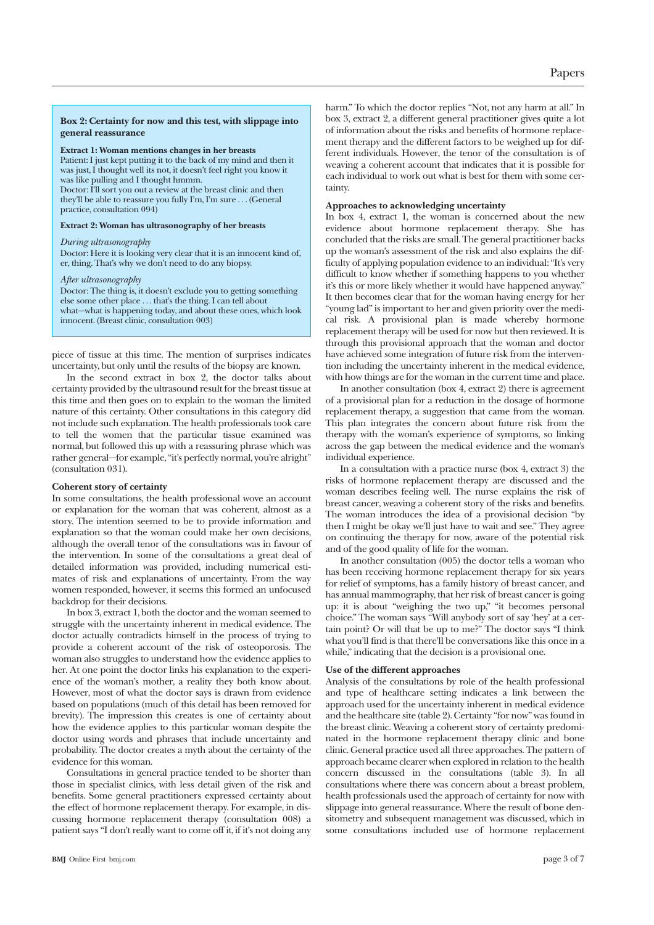#### **Box 2: Certainty for now and this test, with slippage into general reassurance**

#### **Extract 1: Woman mentions changes in her breasts**

Patient: I just kept putting it to the back of my mind and then it was just, I thought well its not, it doesn't feel right you know it was like pulling and I thought hmmm. Doctor: I'll sort you out a review at the breast clinic and then

they'll be able to reassure you fully I'm, I'm sure . . . (General practice, consultation 094)

#### **Extract 2: Woman has ultrasonography of her breasts**

#### *During ultrasonography*

Doctor: Here it is looking very clear that it is an innocent kind of, er, thing. That's why we don't need to do any biopsy.

#### *After ultrasonography*

Doctor: The thing is, it doesn't exclude you to getting something else some other place . . . that's the thing. I can tell about what—what is happening today, and about these ones, which look innocent. (Breast clinic, consultation 003)

piece of tissue at this time. The mention of surprises indicates uncertainty, but only until the results of the biopsy are known.

In the second extract in box 2, the doctor talks about certainty provided by the ultrasound result for the breast tissue at this time and then goes on to explain to the woman the limited nature of this certainty. Other consultations in this category did not include such explanation. The health professionals took care to tell the women that the particular tissue examined was normal, but followed this up with a reassuring phrase which was rather general—for example, "it's perfectly normal, you're alright" (consultation 031).

#### **Coherent story of certainty**

In some consultations, the health professional wove an account or explanation for the woman that was coherent, almost as a story. The intention seemed to be to provide information and explanation so that the woman could make her own decisions, although the overall tenor of the consultations was in favour of the intervention. In some of the consultations a great deal of detailed information was provided, including numerical estimates of risk and explanations of uncertainty. From the way women responded, however, it seems this formed an unfocused backdrop for their decisions.

In box 3, extract 1, both the doctor and the woman seemed to struggle with the uncertainty inherent in medical evidence. The doctor actually contradicts himself in the process of trying to provide a coherent account of the risk of osteoporosis. The woman also struggles to understand how the evidence applies to her. At one point the doctor links his explanation to the experience of the woman's mother, a reality they both know about. However, most of what the doctor says is drawn from evidence based on populations (much of this detail has been removed for brevity). The impression this creates is one of certainty about how the evidence applies to this particular woman despite the doctor using words and phrases that include uncertainty and probability. The doctor creates a myth about the certainty of the evidence for this woman.

Consultations in general practice tended to be shorter than those in specialist clinics, with less detail given of the risk and benefits. Some general practitioners expressed certainty about the effect of hormone replacement therapy. For example, in discussing hormone replacement therapy (consultation 008) a patient says "I don't really want to come off it, if it's not doing any harm." To which the doctor replies "Not, not any harm at all." In box 3, extract 2, a different general practitioner gives quite a lot of information about the risks and benefits of hormone replacement therapy and the different factors to be weighed up for different individuals. However, the tenor of the consultation is of weaving a coherent account that indicates that it is possible for each individual to work out what is best for them with some certainty.

#### **Approaches to acknowledging uncertainty**

In box 4, extract 1, the woman is concerned about the new evidence about hormone replacement therapy. She has concluded that the risks are small. The general practitioner backs up the woman's assessment of the risk and also explains the difficulty of applying population evidence to an individual: "It's very difficult to know whether if something happens to you whether it's this or more likely whether it would have happened anyway." It then becomes clear that for the woman having energy for her "young lad" is important to her and given priority over the medical risk. A provisional plan is made whereby hormone replacement therapy will be used for now but then reviewed. It is through this provisional approach that the woman and doctor have achieved some integration of future risk from the intervention including the uncertainty inherent in the medical evidence, with how things are for the woman in the current time and place.

In another consultation (box 4, extract 2) there is agreement of a provisional plan for a reduction in the dosage of hormone replacement therapy, a suggestion that came from the woman. This plan integrates the concern about future risk from the therapy with the woman's experience of symptoms, so linking across the gap between the medical evidence and the woman's individual experience.

In a consultation with a practice nurse (box 4, extract 3) the risks of hormone replacement therapy are discussed and the woman describes feeling well. The nurse explains the risk of breast cancer, weaving a coherent story of the risks and benefits. The woman introduces the idea of a provisional decision "by then I might be okay we'll just have to wait and see." They agree on continuing the therapy for now, aware of the potential risk and of the good quality of life for the woman.

In another consultation (005) the doctor tells a woman who has been receiving hormone replacement therapy for six years for relief of symptoms, has a family history of breast cancer, and has annual mammography, that her risk of breast cancer is going up: it is about "weighing the two up," "it becomes personal choice." The woman says "Will anybody sort of say 'hey' at a certain point? Or will that be up to me?" The doctor says "I think what you'll find is that there'll be conversations like this once in a while," indicating that the decision is a provisional one.

#### **Use of the different approaches**

Analysis of the consultations by role of the health professional and type of healthcare setting indicates a link between the approach used for the uncertainty inherent in medical evidence and the healthcare site (table 2). Certainty "for now" was found in the breast clinic. Weaving a coherent story of certainty predominated in the hormone replacement therapy clinic and bone clinic. General practice used all three approaches. The pattern of approach became clearer when explored in relation to the health concern discussed in the consultations (table 3). In all consultations where there was concern about a breast problem, health professionals used the approach of certainty for now with slippage into general reassurance. Where the result of bone densitometry and subsequent management was discussed, which in some consultations included use of hormone replacement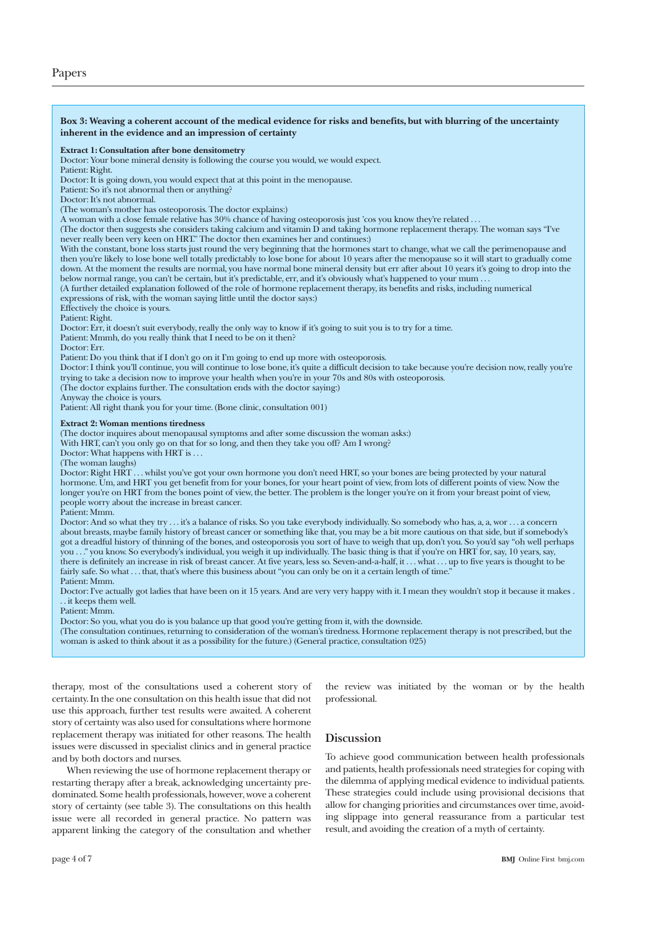#### **Box 3: Weaving a coherent account of the medical evidence for risks and benefits, but with blurring of the uncertainty inherent in the evidence and an impression of certainty**

**Extract 1: Consultation after bone densitometry**

Doctor: Your bone mineral density is following the course you would, we would expect.

Patient: Right.

Doctor: It is going down, you would expect that at this point in the menopause.

Patient: So it's not abnormal then or anything?

Doctor: It's not abnormal. (The woman's mother has osteoporosis. The doctor explains:)

A woman with a close female relative has 30% chance of having osteoporosis just 'cos you know they're related . . .

(The doctor then suggests she considers taking calcium and vitamin D and taking hormone replacement therapy. The woman says "I've

never really been very keen on HRT." The doctor then examines her and continues:)

With the constant, bone loss starts just round the very beginning that the hormones start to change, what we call the perimenopause and then you're likely to lose bone well totally predictably to lose bone for about 10 years after the menopause so it will start to gradually come down. At the moment the results are normal, you have normal bone mineral density but err after about 10 years it's going to drop into the below normal range, you can't be certain, but it's predictable, err, and it's obviously what's happened to your mum . . .

(A further detailed explanation followed of the role of hormone replacement therapy, its benefits and risks, including numerical expressions of risk, with the woman saying little until the doctor says:)

Effectively the choice is yours.

Patient: Right.

Doctor: Err, it doesn't suit everybody, really the only way to know if it's going to suit you is to try for a time.

Patient: Mmmh, do you really think that I need to be on it then?

Doctor: Err.

Patient: Do you think that if I don't go on it I'm going to end up more with osteoporosis.

Doctor: I think you'll continue, you will continue to lose bone, it's quite a difficult decision to take because you're decision now, really you're trying to take a decision now to improve your health when you're in your 70s and 80s with osteoporosis.

(The doctor explains further. The consultation ends with the doctor saying:)

Anyway the choice is yours.

Patient: All right thank you for your time. (Bone clinic, consultation 001)

#### **Extract 2: Woman mentions tiredness**

(The doctor inquires about menopausal symptoms and after some discussion the woman asks:)

With HRT, can't you only go on that for so long, and then they take you off? Am I wrong?

Doctor: What happens with HRT is . . .

(The woman laughs)

Doctor: Right HRT . . . whilst you've got your own hormone you don't need HRT, so your bones are being protected by your natural hormone. Um, and HRT you get benefit from for your bones, for your heart point of view, from lots of different points of view. Now the longer you're on HRT from the bones point of view, the better. The problem is the longer you're on it from your breast point of view, people worry about the increase in breast cancer.

Patient: Mmm.

Doctor: And so what they try . . . it's a balance of risks. So you take everybody individually. So somebody who has, a, a, wor ...aconcern about breasts, maybe family history of breast cancer or something like that, you may be a bit more cautious on that side, but if somebody's got a dreadful history of thinning of the bones, and osteoporosis you sort of have to weigh that up, don't you. So you'd say "oh well perhaps you . . ." you know. So everybody's individual, you weigh it up individually. The basic thing is that if you're on HRT for, say, 10 years, say, there is definitely an increase in risk of breast cancer. At five years, less so. Seven-and-a-half, it . . . what . . . up to five years is thought to be fairly safe. So what ... that, that's where this business about "you can only be on it a certain length of time." Patient: Mmm.

Doctor: I've actually got ladies that have been on it 15 years. And are very very happy with it. I mean they wouldn't stop it because it makes . . . it keeps them well.

Patient: Mmm.

Doctor: So you, what you do is you balance up that good you're getting from it, with the downside.

(The consultation continues, returning to consideration of the woman's tiredness. Hormone replacement therapy is not prescribed, but the woman is asked to think about it as a possibility for the future.) (General practice, consultation 025)

therapy, most of the consultations used a coherent story of certainty. In the one consultation on this health issue that did not use this approach, further test results were awaited. A coherent story of certainty was also used for consultations where hormone replacement therapy was initiated for other reasons. The health issues were discussed in specialist clinics and in general practice and by both doctors and nurses.

When reviewing the use of hormone replacement therapy or restarting therapy after a break, acknowledging uncertainty predominated. Some health professionals, however, wove a coherent story of certainty (see table 3). The consultations on this health issue were all recorded in general practice. No pattern was apparent linking the category of the consultation and whether

the review was initiated by the woman or by the health professional.

# **Discussion**

To achieve good communication between health professionals and patients, health professionals need strategies for coping with the dilemma of applying medical evidence to individual patients. These strategies could include using provisional decisions that allow for changing priorities and circumstances over time, avoiding slippage into general reassurance from a particular test result, and avoiding the creation of a myth of certainty.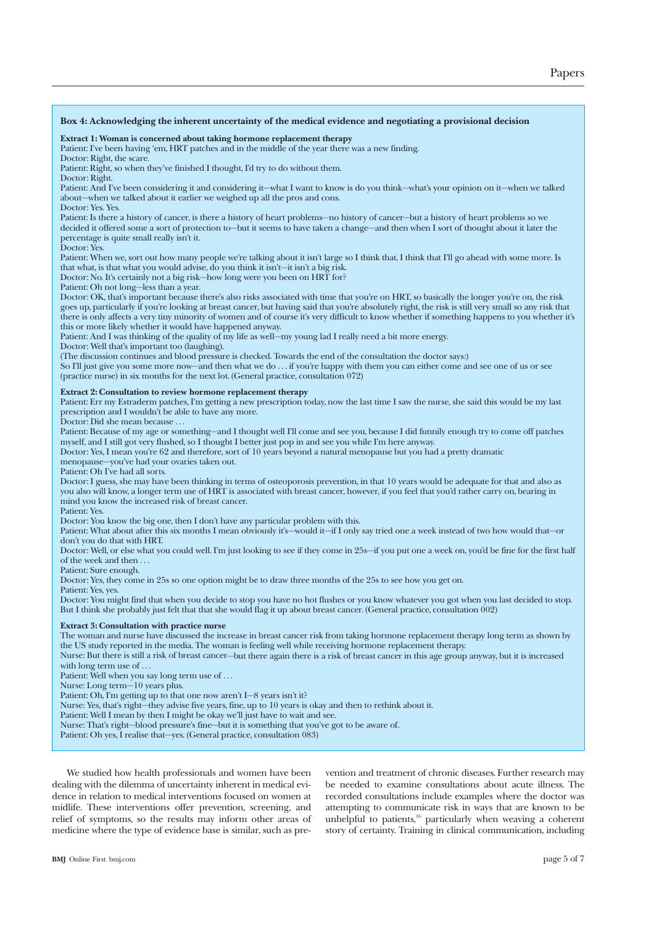#### **Box 4: Acknowledging the inherent uncertainty of the medical evidence and negotiating a provisional decision**

#### **Extract 1: Woman is concerned about taking hormone replacement therapy**

Patient: I've been having 'em, HRT patches and in the middle of the year there was a new finding.

Doctor: Right, the scare.

Patient: Right, so when they've finished I thought, I'd try to do without them.

Doctor: Right.

Patient: And I've been considering it and considering it—what I want to know is do you think—what's your opinion on it—when we talked about—when we talked about it earlier we weighed up all the pros and cons.

Doctor: Yes. Yes.

Patient: Is there a history of cancer, is there a history of heart problems—no history of cancer—but a history of heart problems so we decided it offered some a sort of protection to—but it seems to have taken a change—and then when I sort of thought about it later the percentage is quite small really isn't it.

Doctor: Yes.

Patient: When we, sort out how many people we're talking about it isn't large so I think that, I think that I'll go ahead with some more. Is that what, is that what you would advise, do you think it isn't—it isn't a big risk.

Doctor: No. It's certainly not a big risk—how long were you been on HRT for?

Patient: Oh not long—less than a year.

Doctor: OK, that's important because there's also risks associated with time that you're on HRT, so basically the longer you're on, the risk goes up, particularly if you're looking at breast cancer, but having said that you're absolutely right, the risk is still very small so any risk that there is only affects a very tiny minority of women and of course it's very difficult to know whether if something happens to you whether it's this or more likely whether it would have happened anyway.

Patient: And I was thinking of the quality of my life as well—my young lad I really need a bit more energy.

Doctor: Well that's important too (laughing).

(The discussion continues and blood pressure is checked. Towards the end of the consultation the doctor says:)

So I'll just give you some more now—and then what we do . . . if you're happy with them you can either come and see one of us or see (practice nurse) in six months for the next lot. (General practice, consultation 072)

### **Extract 2: Consultation to review hormone replacement therapy**

Patient: Err my Estraderm patches, I'm getting a new prescription today, now the last time I saw the nurse, she said this would be my last prescription and I wouldn't be able to have any more.

Doctor: Did she mean because . . .

Patient: Because of my age or something—and I thought well I'll come and see you, because I did funnily enough try to come off patches myself, and I still got very flushed, so I thought I better just pop in and see you while I'm here anyway.

Doctor: Yes, I mean you're 62 and therefore, sort of 10 years beyond a natural menopause but you had a pretty dramatic

menopause—you've had your ovaries taken out.

Patient: Oh I've had all sorts.

Doctor: I guess, she may have been thinking in terms of osteoporosis prevention, in that 10 years would be adequate for that and also as you also will know, a longer term use of HRT is associated with breast cancer, however, if you feel that you'd rather carry on, bearing in mind you know the increased risk of breast cancer.

Patient: Yes.

Doctor: You know the big one, then I don't have any particular problem with this.

Patient: What about after this six months I mean obviously it's—would it—if I only say tried one a week instead of two how would that—or don't you do that with HRT.

Doctor: Well, or else what you could well. I'm just looking to see if they come in 25s—if you put one a week on, you'd be fine for the first half of the week and then . . .

Patient: Sure enough.

Doctor: Yes, they come in 25s so one option might be to draw three months of the 25s to see how you get on.

Patient: Yes, yes.

Doctor: You might find that when you decide to stop you have no hot flushes or you know whatever you got when you last decided to stop. But I think she probably just felt that that she would flag it up about breast cancer. (General practice, consultation 002)

#### **Extract 3: Consultation with practice nurse**

The woman and nurse have discussed the increase in breast cancer risk from taking hormone replacement therapy long term as shown by the US study reported in the media. The woman is feeling well while receiving hormone replacement therapy.

Nurse: But there is still a risk of breast cancer—but there again there is a risk of breast cancer in this age group anyway, but it is increased with long term use of . . .

Patient: Well when you say long term use of ...

Nurse: Long term—10 years plus.

Patient: Oh, I'm getting up to that one now aren't I—8 years isn't it?

Nurse: Yes, that's right—they advise five years, fine, up to 10 years is okay and then to rethink about it.

Patient: Well I mean by then I might be okay we'll just have to wait and see.

Nurse: That's right—blood pressure's fine—but it is something that you've got to be aware of.

Patient: Oh yes, I realise that—yes. (General practice, consultation 083)

We studied how health professionals and women have been dealing with the dilemma of uncertainty inherent in medical evidence in relation to medical interventions focused on women at midlife. These interventions offer prevention, screening, and relief of symptoms, so the results may inform other areas of medicine where the type of evidence base is similar, such as prevention and treatment of chronic diseases. Further research may be needed to examine consultations about acute illness. The recorded consultations include examples where the doctor was attempting to communicate risk in ways that are known to be unhelpful to patients,<sup>16</sup> particularly when weaving a coherent story of certainty. Training in clinical communication, including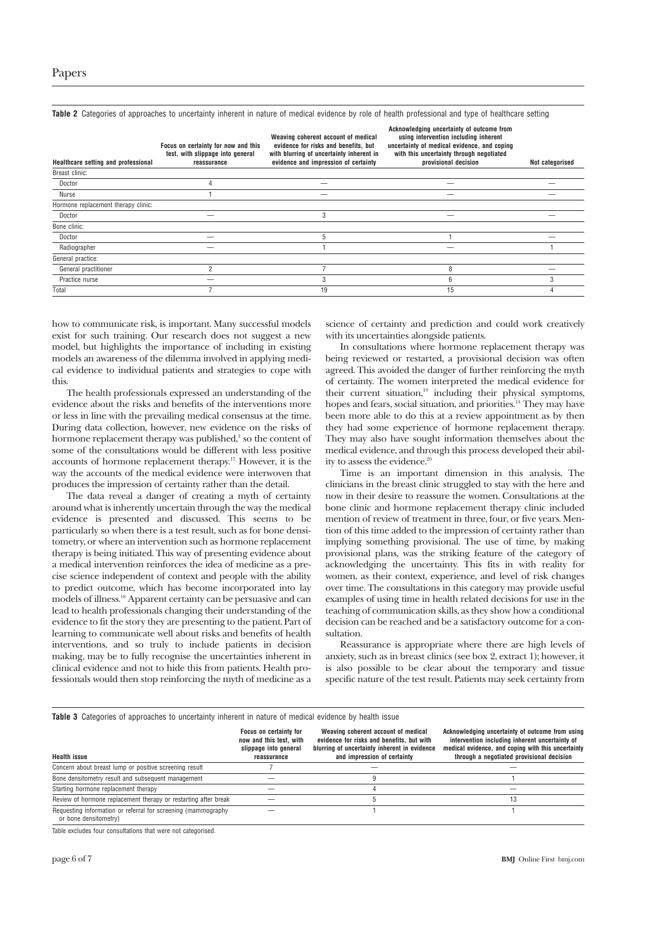| Healthcare setting and professional | Focus on certainty for now and this<br>test, with slippage into general<br>reassurance | Weaving coherent account of medical<br>evidence for risks and benefits, but<br>with blurring of uncertainty inherent in<br>evidence and impression of certainty | Acknowledging uncertainty of outcome from<br>using intervention including inherent<br>uncertainty of medical evidence, and coping<br>with this uncertainty through negotiated<br>provisional decision | Not categorised |
|-------------------------------------|----------------------------------------------------------------------------------------|-----------------------------------------------------------------------------------------------------------------------------------------------------------------|-------------------------------------------------------------------------------------------------------------------------------------------------------------------------------------------------------|-----------------|
| Breast clinic:                      |                                                                                        |                                                                                                                                                                 |                                                                                                                                                                                                       |                 |
| Doctor                              |                                                                                        |                                                                                                                                                                 |                                                                                                                                                                                                       |                 |
| Nurse                               |                                                                                        |                                                                                                                                                                 |                                                                                                                                                                                                       |                 |
| Hormone replacement therapy clinic: |                                                                                        |                                                                                                                                                                 |                                                                                                                                                                                                       |                 |
| Doctor                              |                                                                                        | 3                                                                                                                                                               |                                                                                                                                                                                                       |                 |
| Bone clinic:                        |                                                                                        |                                                                                                                                                                 |                                                                                                                                                                                                       |                 |
| Doctor                              |                                                                                        |                                                                                                                                                                 |                                                                                                                                                                                                       |                 |
| Radiographer                        |                                                                                        |                                                                                                                                                                 |                                                                                                                                                                                                       |                 |
| General practice:                   |                                                                                        |                                                                                                                                                                 |                                                                                                                                                                                                       |                 |
| General practitioner                | $\overline{2}$                                                                         |                                                                                                                                                                 | 8                                                                                                                                                                                                     |                 |
| Practice nurse                      |                                                                                        | 3                                                                                                                                                               | 6                                                                                                                                                                                                     | 3               |
| Total                               |                                                                                        | 19                                                                                                                                                              | 15                                                                                                                                                                                                    |                 |

Table 2 Categories of approaches to uncertainty inherent in nature of medical evidence by role of health professional and type of healthcare setting

how to communicate risk, is important. Many successful models exist for such training. Our research does not suggest a new model, but highlights the importance of including in existing models an awareness of the dilemma involved in applying medical evidence to individual patients and strategies to cope with this.

The health professionals expressed an understanding of the evidence about the risks and benefits of the interventions more or less in line with the prevailing medical consensus at the time. During data collection, however, new evidence on the risks of hormone replacement therapy was published,<sup>3</sup> so the content of some of the consultations would be different with less positive accounts of hormone replacement therapy.17 However, it is the way the accounts of the medical evidence were interwoven that produces the impression of certainty rather than the detail.

The data reveal a danger of creating a myth of certainty around what is inherently uncertain through the way the medical evidence is presented and discussed. This seems to be particularly so when there is a test result, such as for bone densitometry, or where an intervention such as hormone replacement therapy is being initiated. This way of presenting evidence about a medical intervention reinforces the idea of medicine as a precise science independent of context and people with the ability to predict outcome, which has become incorporated into lay models of illness.18 Apparent certainty can be persuasive and can lead to health professionals changing their understanding of the evidence to fit the story they are presenting to the patient. Part of learning to communicate well about risks and benefits of health interventions, and so truly to include patients in decision making, may be to fully recognise the uncertainties inherent in clinical evidence and not to hide this from patients. Health professionals would then stop reinforcing the myth of medicine as a science of certainty and prediction and could work creatively with its uncertainties alongside patients.

In consultations where hormone replacement therapy was being reviewed or restarted, a provisional decision was often agreed. This avoided the danger of further reinforcing the myth of certainty. The women interpreted the medical evidence for their current situation,<sup>19</sup> including their physical symptoms, hopes and fears, social situation, and priorities.<sup>14</sup> They may have been more able to do this at a review appointment as by then they had some experience of hormone replacement therapy. They may also have sought information themselves about the medical evidence, and through this process developed their ability to assess the evidence.<sup>20</sup>

Time is an important dimension in this analysis. The clinicians in the breast clinic struggled to stay with the here and now in their desire to reassure the women. Consultations at the bone clinic and hormone replacement therapy clinic included mention of review of treatment in three, four, or five years. Mention of this time added to the impression of certainty rather than implying something provisional. The use of time, by making provisional plans, was the striking feature of the category of acknowledging the uncertainty. This fits in with reality for women, as their context, experience, and level of risk changes over time. The consultations in this category may provide useful examples of using time in health related decisions for use in the teaching of communication skills, as they show how a conditional decision can be reached and be a satisfactory outcome for a consultation.

Reassurance is appropriate where there are high levels of anxiety, such as in breast clinics (see box 2, extract 1); however, it is also possible to be clear about the temporary and tissue specific nature of the test result. Patients may seek certainty from

|  |  | Table 3 Categories of approaches to uncertainty inherent in nature of medical evidence by health issue |  |  |  |  |  |  |  |  |
|--|--|--------------------------------------------------------------------------------------------------------|--|--|--|--|--|--|--|--|
|--|--|--------------------------------------------------------------------------------------------------------|--|--|--|--|--|--|--|--|

| <b>Health issue</b>                                                                    | Focus on certainty for<br>now and this test, with<br>slippage into general<br>reassurance | Weaving coherent account of medical<br>evidence for risks and benefits, but with<br>blurring of uncertainty inherent in evidence<br>and impression of certainty | Acknowledging uncertainty of outcome from using<br>intervention including inherent uncertainty of<br>medical evidence, and coping with this uncertainty<br>through a negotiated provisional decision |  |  |
|----------------------------------------------------------------------------------------|-------------------------------------------------------------------------------------------|-----------------------------------------------------------------------------------------------------------------------------------------------------------------|------------------------------------------------------------------------------------------------------------------------------------------------------------------------------------------------------|--|--|
| Concern about breast lump or positive screening result                                 |                                                                                           |                                                                                                                                                                 |                                                                                                                                                                                                      |  |  |
| Bone densitometry result and subsequent management                                     |                                                                                           |                                                                                                                                                                 |                                                                                                                                                                                                      |  |  |
| Starting hormone replacement therapy                                                   |                                                                                           |                                                                                                                                                                 |                                                                                                                                                                                                      |  |  |
| Review of hormone replacement therapy or restarting after break                        |                                                                                           |                                                                                                                                                                 |                                                                                                                                                                                                      |  |  |
| Requesting information or referral for screening (mammography<br>or bone densitometry) |                                                                                           |                                                                                                                                                                 |                                                                                                                                                                                                      |  |  |

Table excludes four consultations that were not categorised.